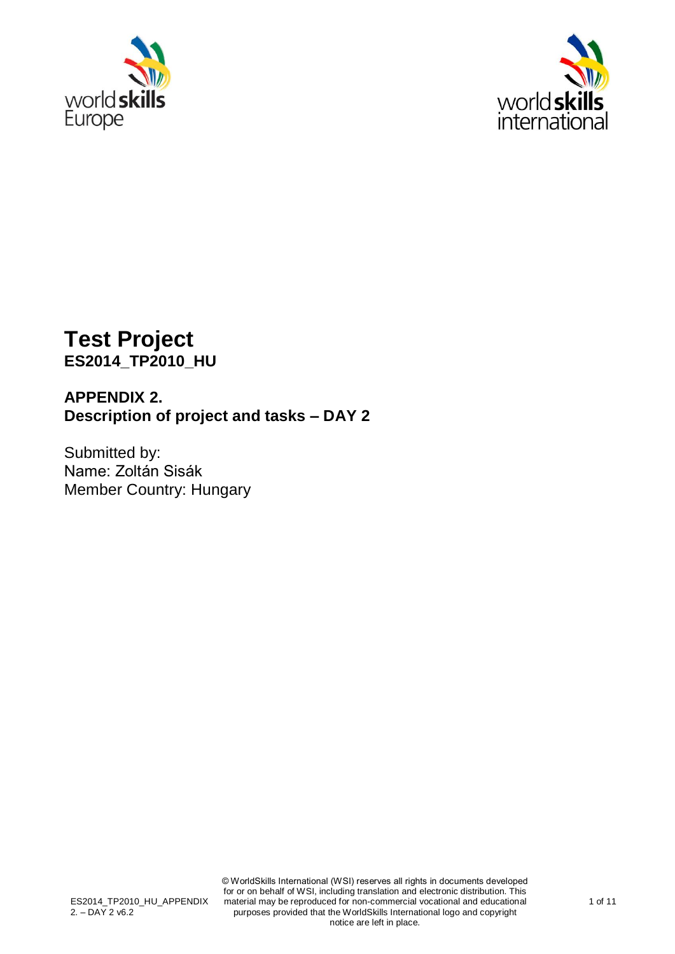



# **Test Project ES2014\_TP2010\_HU**

## **APPENDIX 2. Description of project and tasks – DAY 2**

Submitted by: Name: Zoltán Sisák Member Country: Hungary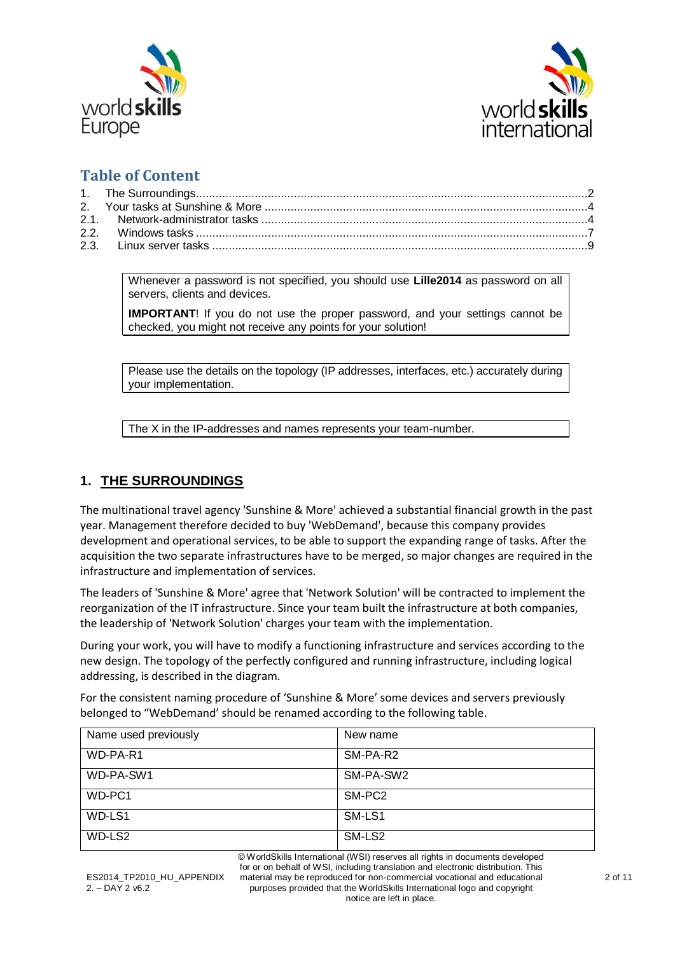



### **Table of Content**

<span id="page-1-0"></span>Whenever a password is not specified, you should use **Lille2014** as password on all servers, clients and devices.

**IMPORTANT**! If you do not use the proper password, and your settings cannot be checked, you might not receive any points for your solution!

Please use the details on the topology (IP addresses, interfaces, etc.) accurately during your implementation.

The X in the IP-addresses and names represents your team-number.

#### **1. THE SURROUNDINGS**

The multinational travel agency 'Sunshine & More' achieved a substantial financial growth in the past year. Management therefore decided to buy 'WebDemand', because this company provides development and operational services, to be able to support the expanding range of tasks. After the acquisition the two separate infrastructures have to be merged, so major changes are required in the infrastructure and implementation of services.

The leaders of 'Sunshine & More' agree that 'Network Solution' will be contracted to implement the reorganization of the IT infrastructure. Since your team built the infrastructure at both companies, the leadership of 'Network Solution' charges your team with the implementation.

During your work, you will have to modify a functioning infrastructure and services according to the new design. The topology of the perfectly configured and running infrastructure, including logical addressing, is described in the diagram.

For the consistent naming procedure of 'Sunshine & More' some devices and servers previously belonged to "WebDemand' should be renamed according to the following table.

| Name used previously | New name  |
|----------------------|-----------|
| WD-PA-R1             | SM-PA-R2  |
| WD-PA-SW1            | SM-PA-SW2 |
| WD-PC1               | SM-PC2    |
| WD-LS1               | SM-LS1    |
| WD-LS2               | SM-LS2    |

© WorldSkills International (WSI) reserves all rights in documents developed for or on behalf of WSI, including translation and electronic distribution. This material may be reproduced for non-commercial vocational and educational purposes provided that the WorldSkills International logo and copyright notice are left in place.

ES2014 TP2010 HU APPENDIX  $2. -$  DAY 2 v6.2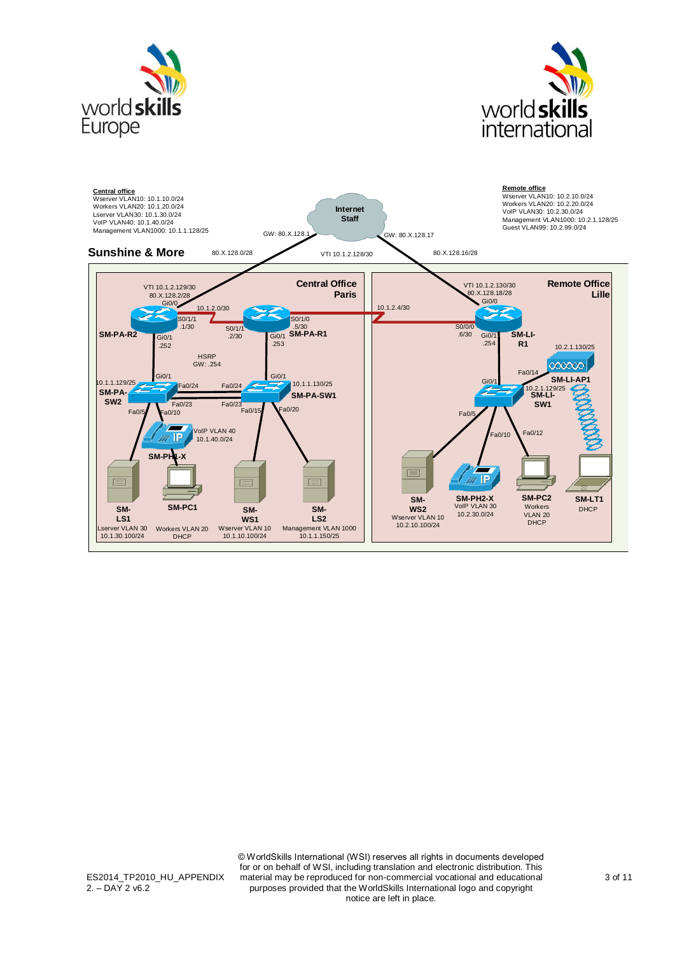



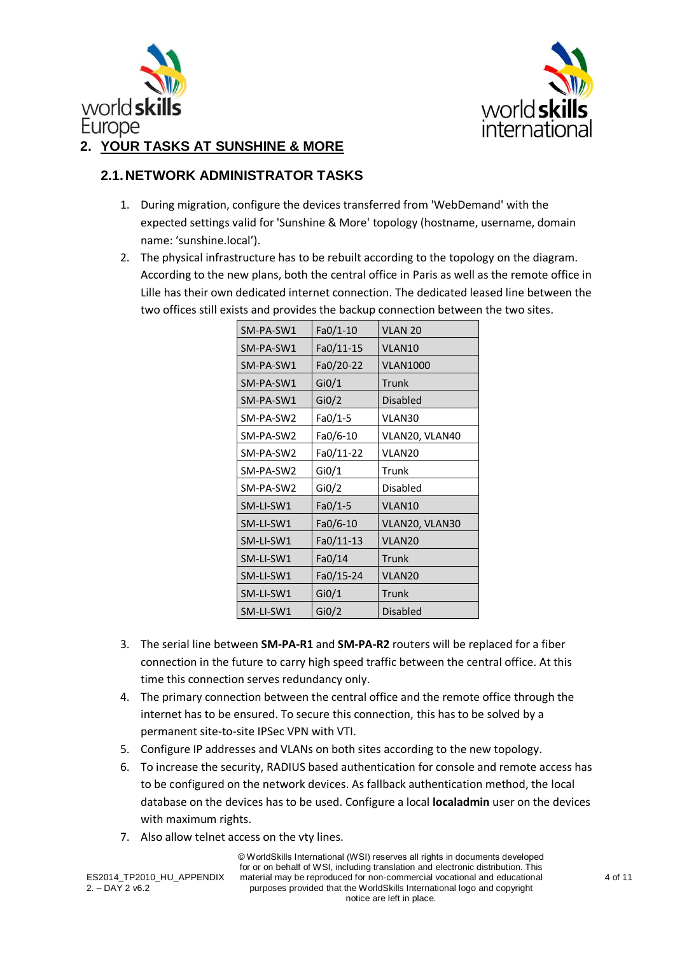



#### <span id="page-3-0"></span>**2. YOUR TASKS AT SUNSHINE & MORE**

#### <span id="page-3-1"></span>**2.1.NETWORK ADMINISTRATOR TASKS**

- 1. During migration, configure the devices transferred from 'WebDemand' with the expected settings valid for 'Sunshine & More' topology (hostname, username, domain name: 'sunshine.local').
- 2. The physical infrastructure has to be rebuilt according to the topology on the diagram. According to the new plans, both the central office in Paris as well as the remote office in Lille has their own dedicated internet connection. The dedicated leased line between the two offices still exists and provides the backup connection between the two sites.

| SM-PA-SW1 | $Fa0/1-10$ | VLAN <sub>20</sub> |
|-----------|------------|--------------------|
| SM-PA-SW1 | Fa0/11-15  | VLAN10             |
| SM-PA-SW1 | Fa0/20-22  | <b>VLAN1000</b>    |
| SM-PA-SW1 | Gi0/1      | Trunk              |
| SM-PA-SW1 | Gi0/2      | Disabled           |
| SM-PA-SW2 | Fa0/1-5    | VLAN30             |
| SM-PA-SW2 | Fa0/6-10   | VLAN20, VLAN40     |
| SM-PA-SW2 | Fa0/11-22  | VLAN <sub>20</sub> |
| SM-PA-SW2 | Gi0/1      | Trunk              |
| SM-PA-SW2 | Gi $0/2$   | Disabled           |
| SM-LI-SW1 | $Fa0/1-5$  | VLAN10             |
| SM-LI-SW1 | $Fa0/6-10$ | VLAN20, VLAN30     |
| SM-LI-SW1 | Fa0/11-13  | VLAN <sub>20</sub> |
| SM-LI-SW1 | Fa0/14     | Trunk              |
| SM-LI-SW1 | Fa0/15-24  | VLAN <sub>20</sub> |
| SM-LI-SW1 | Gi0/1      | Trunk              |
| SM-LI-SW1 | Gi0/2      | <b>Disabled</b>    |

- 3. The serial line between **SM-PA-R1** and **SM-PA-R2** routers will be replaced for a fiber connection in the future to carry high speed traffic between the central office. At this time this connection serves redundancy only.
- 4. The primary connection between the central office and the remote office through the internet has to be ensured. To secure this connection, this has to be solved by a permanent site-to-site IPSec VPN with VTI.
- 5. Configure IP addresses and VLANs on both sites according to the new topology.
- 6. To increase the security, RADIUS based authentication for console and remote access has to be configured on the network devices. As fallback authentication method, the local database on the devices has to be used. Configure a local **localadmin** user on the devices with maximum rights.
- 7. Also allow telnet access on the vty lines.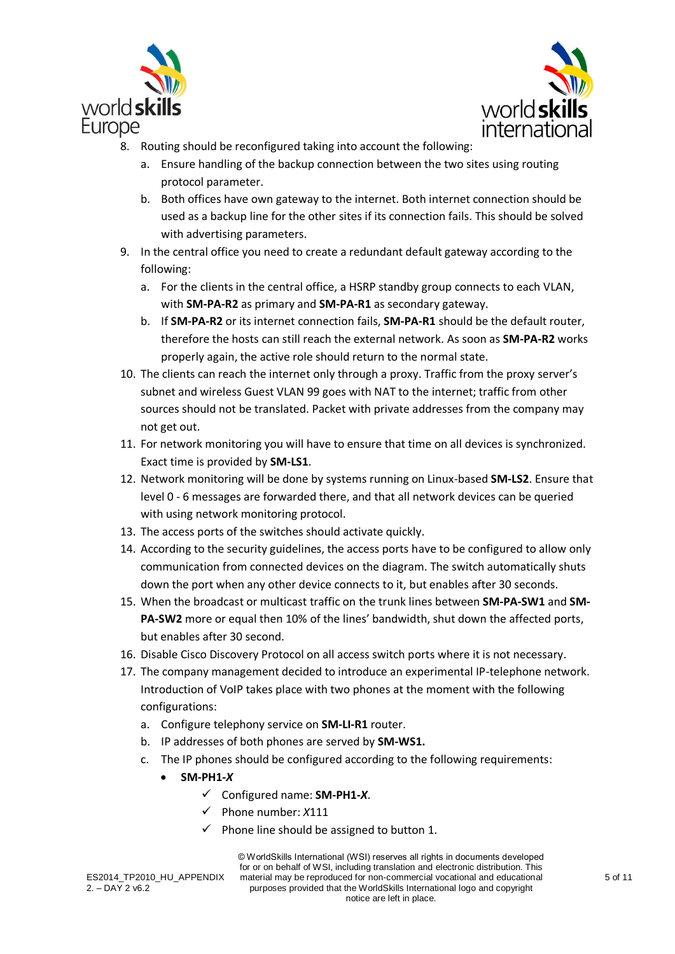



- 8. Routing should be reconfigured taking into account the following:
	- a. Ensure handling of the backup connection between the two sites using routing protocol parameter.
	- b. Both offices have own gateway to the internet. Both internet connection should be used as a backup line for the other sites if its connection fails. This should be solved with advertising parameters.
- 9. In the central office you need to create a redundant default gateway according to the following:
	- a. For the clients in the central office, a HSRP standby group connects to each VLAN, with **SM-PA-R2** as primary and **SM-PA-R1** as secondary gateway.
	- b. If **SM-PA-R2** or its internet connection fails, **SM-PA-R1** should be the default router, therefore the hosts can still reach the external network. As soon as **SM-PA-R2** works properly again, the active role should return to the normal state.
- 10. The clients can reach the internet only through a proxy. Traffic from the proxy server's subnet and wireless Guest VLAN 99 goes with NAT to the internet; traffic from other sources should not be translated. Packet with private addresses from the company may not get out.
- 11. For network monitoring you will have to ensure that time on all devices is synchronized. Exact time is provided by **SM-LS1**.
- 12. Network monitoring will be done by systems running on Linux-based **SM-LS2**. Ensure that level 0 - 6 messages are forwarded there, and that all network devices can be queried with using network monitoring protocol.
- 13. The access ports of the switches should activate quickly.
- 14. According to the security guidelines, the access ports have to be configured to allow only communication from connected devices on the diagram. The switch automatically shuts down the port when any other device connects to it, but enables after 30 seconds.
- 15. When the broadcast or multicast traffic on the trunk lines between **SM-PA-SW1** and **SM-PA-SW2** more or equal then 10% of the lines' bandwidth, shut down the affected ports, but enables after 30 second.
- 16. Disable Cisco Discovery Protocol on all access switch ports where it is not necessary.
- 17. The company management decided to introduce an experimental IP-telephone network. Introduction of VoIP takes place with two phones at the moment with the following configurations:
	- a. Configure telephony service on **SM-LI-R1** router.
	- b. IP addresses of both phones are served by **SM-WS1.**
	- c. The IP phones should be configured according to the following requirements:
		- **SM-PH1-***X*
			- Configured name: **SM-PH1-***X*.
			- Phone number: *X*111
			- $\checkmark$  Phone line should be assigned to button 1.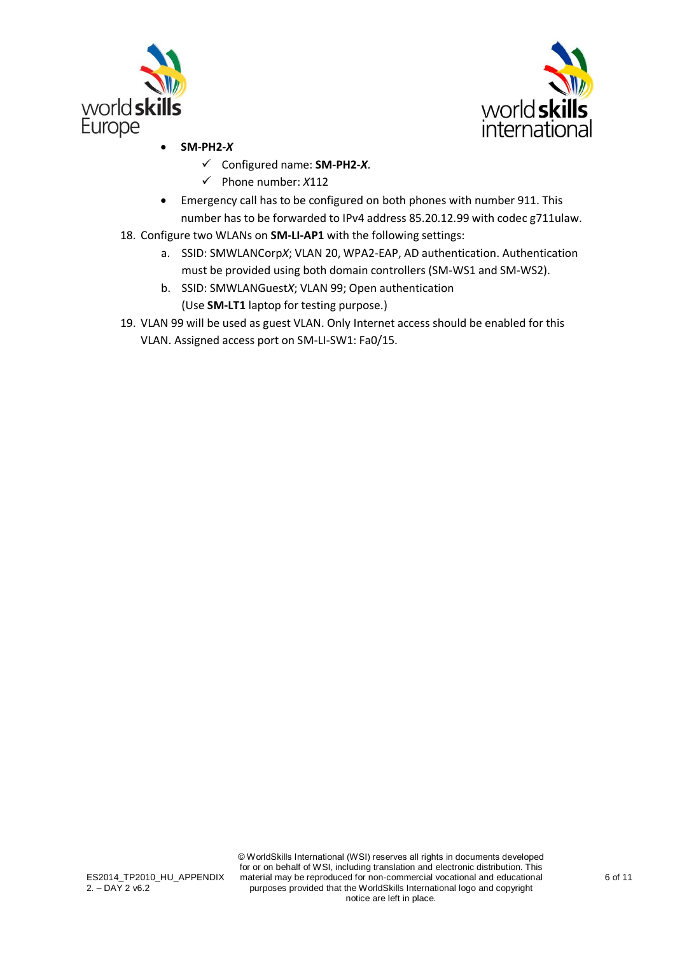



- **SM-PH2-***X*
	- Configured name: **SM-PH2-***X*.
	- Phone number: *X*112
- Emergency call has to be configured on both phones with number 911. This number has to be forwarded to IPv4 address 85.20.12.99 with codec g711ulaw.
- 18. Configure two WLANs on **SM-LI-AP1** with the following settings:
	- a. SSID: SMWLANCorp*X*; VLAN 20, WPA2-EAP, AD authentication. Authentication must be provided using both domain controllers (SM-WS1 and SM-WS2).
	- b. SSID: SMWLANGuest*X*; VLAN 99; Open authentication (Use **SM-LT1** laptop for testing purpose.)
- 19. VLAN 99 will be used as guest VLAN. Only Internet access should be enabled for this VLAN. Assigned access port on SM-LI-SW1: Fa0/15.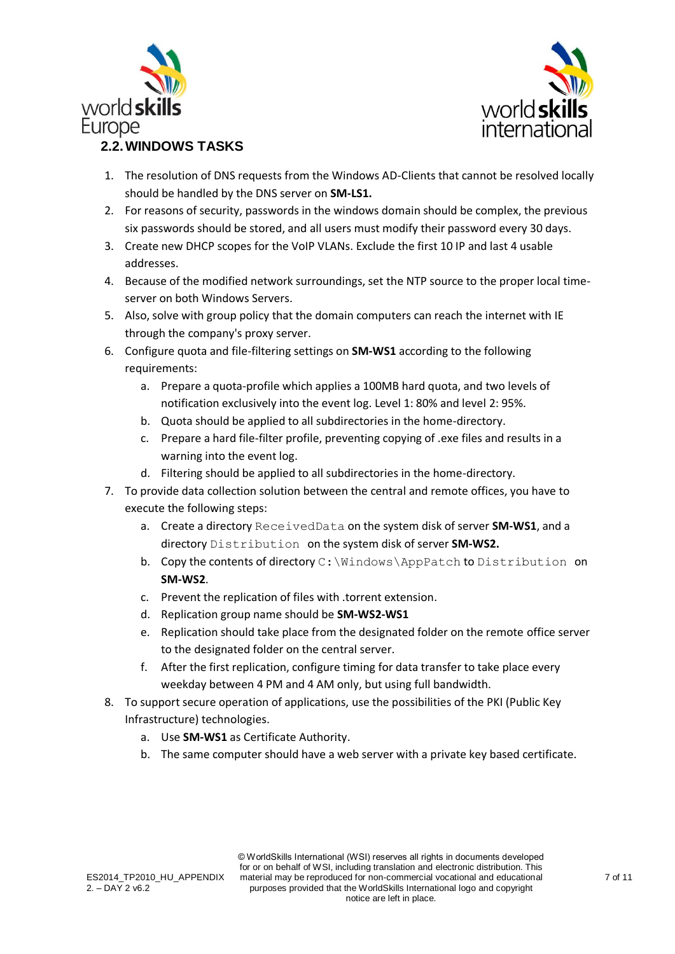



- <span id="page-6-0"></span>1. The resolution of DNS requests from the Windows AD-Clients that cannot be resolved locally should be handled by the DNS server on **SM-LS1.**
- 2. For reasons of security, passwords in the windows domain should be complex, the previous six passwords should be stored, and all users must modify their password every 30 days.
- 3. Create new DHCP scopes for the VoIP VLANs. Exclude the first 10 IP and last 4 usable addresses.
- 4. Because of the modified network surroundings, set the NTP source to the proper local timeserver on both Windows Servers.
- 5. Also, solve with group policy that the domain computers can reach the internet with IE through the company's proxy server.
- 6. Configure quota and file-filtering settings on **SM-WS1** according to the following requirements:
	- a. Prepare a quota-profile which applies a 100MB hard quota, and two levels of notification exclusively into the event log. Level 1: 80% and level 2: 95%.
	- b. Quota should be applied to all subdirectories in the home-directory.
	- c. Prepare a hard file-filter profile, preventing copying of .exe files and results in a warning into the event log.
	- d. Filtering should be applied to all subdirectories in the home-directory.
- 7. To provide data collection solution between the central and remote offices, you have to execute the following steps:
	- a. Create a directory ReceivedData on the system disk of server **SM-WS1**, and a directory Distribution on the system disk of server **SM-WS2.**
	- b. Copy the contents of directory C: \Windows\AppPatch to Distribution on **SM-WS2**.
	- c. Prevent the replication of files with .torrent extension.
	- d. Replication group name should be **SM-WS2-WS1**
	- e. Replication should take place from the designated folder on the remote office server to the designated folder on the central server.
	- f. After the first replication, configure timing for data transfer to take place every weekday between 4 PM and 4 AM only, but using full bandwidth.
- 8. To support secure operation of applications, use the possibilities of the PKI (Public Key Infrastructure) technologies.
	- a. Use **SM-WS1** as Certificate Authority.
	- b. The same computer should have a web server with a private key based certificate.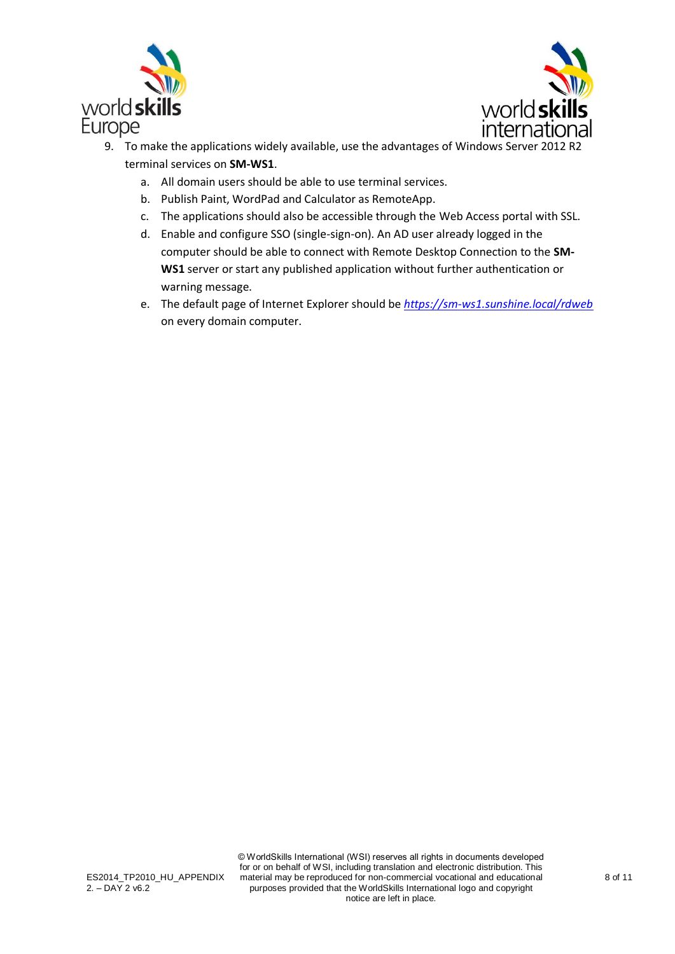



- 9. To make the applications widely available, use the advantages of Windows Server 2012 R2 terminal services on **SM-WS1**.
	- a. All domain users should be able to use terminal services.
	- b. Publish Paint, WordPad and Calculator as RemoteApp.
	- c. The applications should also be accessible through the Web Access portal with SSL.
	- d. Enable and configure SSO (single-sign-on). An AD user already logged in the computer should be able to connect with Remote Desktop Connection to the **SM-WS1** server or start any published application without further authentication or warning message.
	- e. The default page of Internet Explorer should be *<https://sm-ws1.sunshine.local/rdweb>* on every domain computer.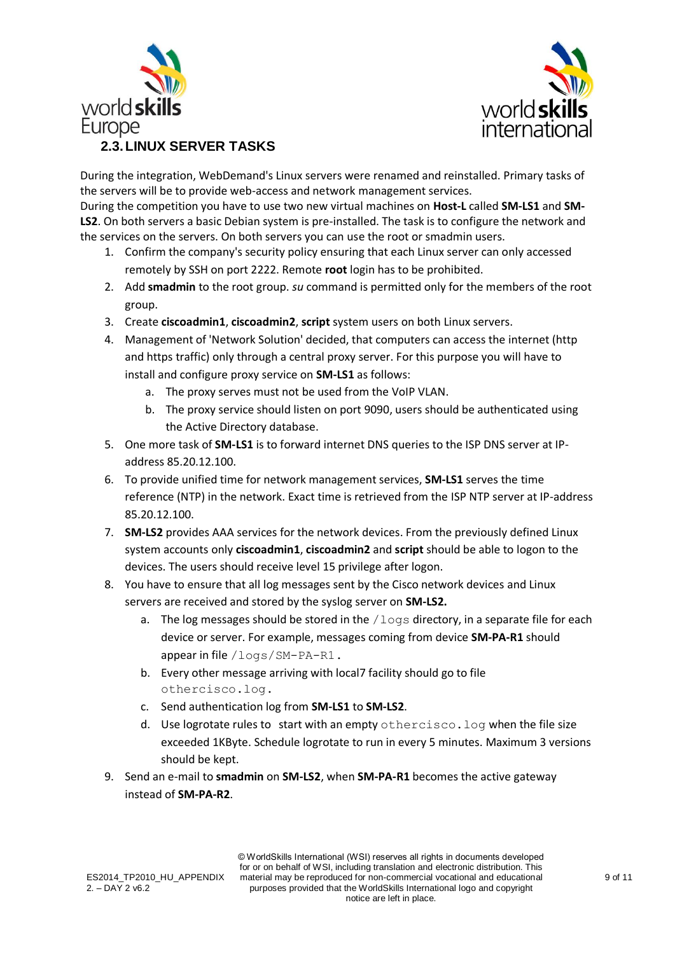



<span id="page-8-0"></span>

During the integration, WebDemand's Linux servers were renamed and reinstalled. Primary tasks of the servers will be to provide web-access and network management services.

During the competition you have to use two new virtual machines on **Host-L** called **SM-LS1** and **SM-LS2**. On both servers a basic Debian system is pre-installed. The task is to configure the network and the services on the servers. On both servers you can use the root or smadmin users.

- 1. Confirm the company's security policy ensuring that each Linux server can only accessed remotely by SSH on port 2222. Remote **root** login has to be prohibited.
- 2. Add **smadmin** to the root group. *su* command is permitted only for the members of the root group.
- 3. Create **ciscoadmin1**, **ciscoadmin2**, **script** system users on both Linux servers.
- 4. Management of 'Network Solution' decided, that computers can access the internet (http and https traffic) only through a central proxy server. For this purpose you will have to install and configure proxy service on **SM-LS1** as follows:
	- a. The proxy serves must not be used from the VoIP VLAN.
	- b. The proxy service should listen on port 9090, users should be authenticated using the Active Directory database.
- 5. One more task of **SM-LS1** is to forward internet DNS queries to the ISP DNS server at IPaddress 85.20.12.100.
- 6. To provide unified time for network management services, **SM-LS1** serves the time reference (NTP) in the network. Exact time is retrieved from the ISP NTP server at IP-address 85.20.12.100.
- 7. **SM-LS2** provides AAA services for the network devices. From the previously defined Linux system accounts only **ciscoadmin1**, **ciscoadmin2** and **script** should be able to logon to the devices. The users should receive level 15 privilege after logon.
- 8. You have to ensure that all log messages sent by the Cisco network devices and Linux servers are received and stored by the syslog server on **SM-LS2.**
	- a. The log messages should be stored in the  $/logs$  directory, in a separate file for each device or server. For example, messages coming from device **SM-PA-R1** should appear in file /logs/SM-PA-R1.
	- b. Every other message arriving with local7 facility should go to file othercisco.log.
	- c. Send authentication log from **SM-LS1** to **SM-LS2**.
	- d. Use logrotate rules to start with an empty othercisco.log when the file size exceeded 1KByte. Schedule logrotate to run in every 5 minutes. Maximum 3 versions should be kept.
- 9. Send an e-mail to **smadmin** on **SM-LS2**, when **SM-PA-R1** becomes the active gateway instead of **SM-PA-R2**.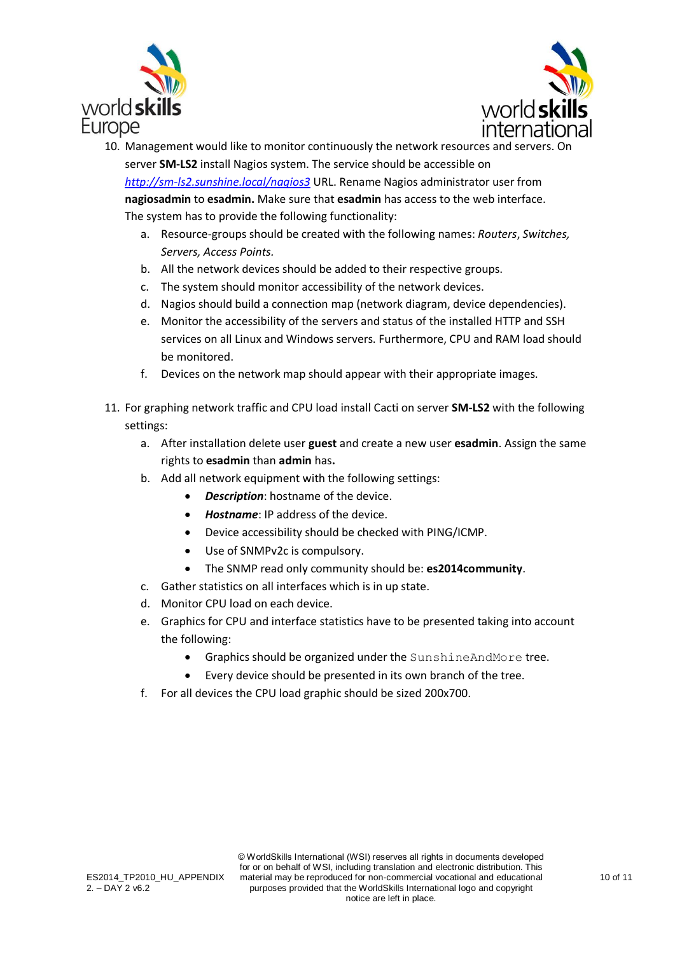



- 10. Management would like to monitor continuously the network resources and servers. On server **SM-LS2** install Nagios system. The service should be accessible on *<http://sm-ls2.sunshine.local/nagios3>* URL. Rename Nagios administrator user from **nagiosadmin** to **esadmin.** Make sure that **esadmin** has access to the web interface. The system has to provide the following functionality:
	- a. Resource-groups should be created with the following names: *Routers*, *Switches, Servers, Access Points.*
	- b. All the network devices should be added to their respective groups.
	- c. The system should monitor accessibility of the network devices.
	- d. Nagios should build a connection map (network diagram, device dependencies).
	- e. Monitor the accessibility of the servers and status of the installed HTTP and SSH services on all Linux and Windows servers. Furthermore, CPU and RAM load should be monitored.
	- f. Devices on the network map should appear with their appropriate images.
- 11. For graphing network traffic and CPU load install Cacti on server **SM-LS2** with the following settings:
	- a. After installation delete user **guest** and create a new user **esadmin**. Assign the same rights to **esadmin** than **admin** has**.**
	- b. Add all network equipment with the following settings:
		- *Description*: hostname of the device.
		- *Hostname*: IP address of the device.
		- Device accessibility should be checked with PING/ICMP.
		- Use of SNMPv2c is compulsory.
		- The SNMP read only community should be: **es2014community**.
	- c. Gather statistics on all interfaces which is in up state.
	- d. Monitor CPU load on each device.
	- e. Graphics for CPU and interface statistics have to be presented taking into account the following:
		- Graphics should be organized under the SunshineAndMore tree.
		- Every device should be presented in its own branch of the tree.
	- f. For all devices the CPU load graphic should be sized 200x700.